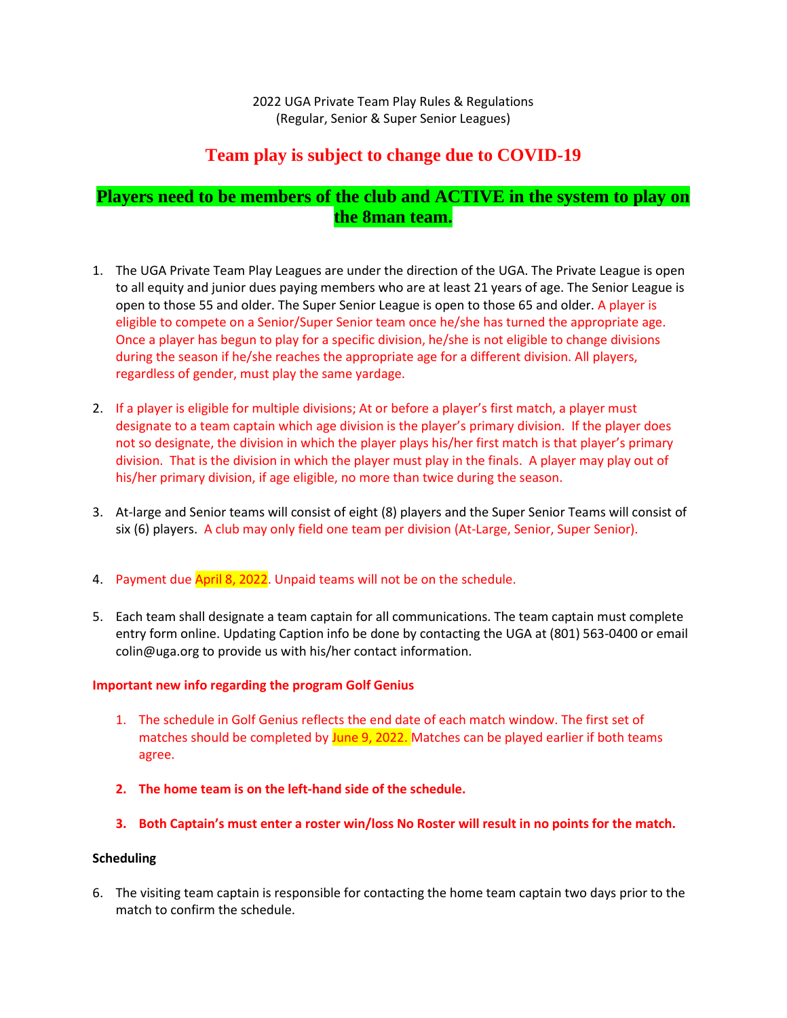2022 UGA Private Team Play Rules & Regulations (Regular, Senior & Super Senior Leagues)

# **Team play is subject to change due to COVID-19**

# **Players need to be members of the club and ACTIVE in the system to play on the 8man team.**

- 1. The UGA Private Team Play Leagues are under the direction of the UGA. The Private League is open to all equity and junior dues paying members who are at least 21 years of age. The Senior League is open to those 55 and older. The Super Senior League is open to those 65 and older. A player is eligible to compete on a Senior/Super Senior team once he/she has turned the appropriate age. Once a player has begun to play for a specific division, he/she is not eligible to change divisions during the season if he/she reaches the appropriate age for a different division. All players, regardless of gender, must play the same yardage.
- 2. If a player is eligible for multiple divisions; At or before a player's first match, a player must designate to a team captain which age division is the player's primary division. If the player does not so designate, the division in which the player plays his/her first match is that player's primary division. That is the division in which the player must play in the finals. A player may play out of his/her primary division, if age eligible, no more than twice during the season.
- 3. At-large and Senior teams will consist of eight (8) players and the Super Senior Teams will consist of six (6) players. A club may only field one team per division (At-Large, Senior, Super Senior).
- 4. Payment due April 8, 2022. Unpaid teams will not be on the schedule.
- 5. Each team shall designate a team captain for all communications. The team captain must complete entry form online. Updating Caption info be done by contacting the UGA at (801) 563-0400 or email colin@uga.org to provide us with his/her contact information.

## **Important new info regarding the program Golf Genius**

- 1. The schedule in Golf Genius reflects the end date of each match window. The first set of matches should be completed by June 9, 2022. Matches can be played earlier if both teams agree.
- **2. The home team is on the left-hand side of the schedule.**
- **3. Both Captain's must enter a roster win/loss No Roster will result in no points for the match.**

## **Scheduling**

6. The visiting team captain is responsible for contacting the home team captain two days prior to the match to confirm the schedule.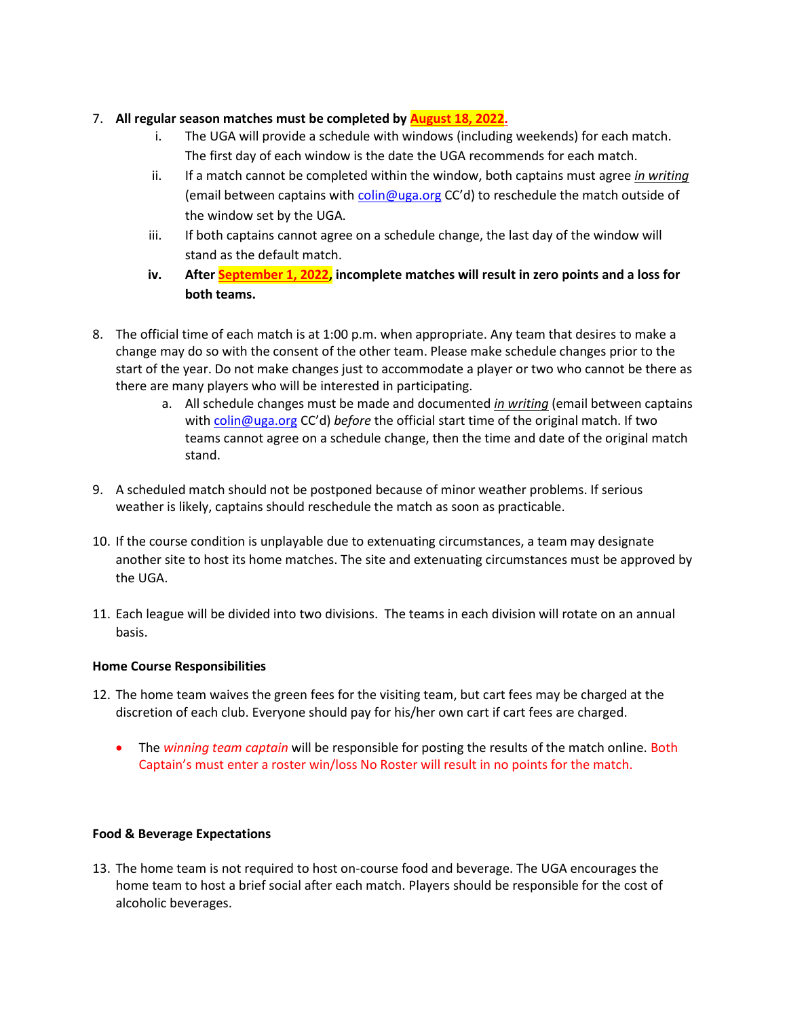## 7. **All regular season matches must be completed by August 18, 2022.**

- i. The UGA will provide a schedule with windows (including weekends) for each match. The first day of each window is the date the UGA recommends for each match.
- ii. If a match cannot be completed within the window, both captains must agree *in writing* (email between captains with [colin@uga.org](mailto:colin@uga.org) CC'd) to reschedule the match outside of the window set by the UGA.
- iii. If both captains cannot agree on a schedule change, the last day of the window will stand as the default match.
- **iv. After September 1, 2022, incomplete matches will result in zero points and a loss for both teams.**
- 8. The official time of each match is at 1:00 p.m. when appropriate. Any team that desires to make a change may do so with the consent of the other team. Please make schedule changes prior to the start of the year. Do not make changes just to accommodate a player or two who cannot be there as there are many players who will be interested in participating.
	- a. All schedule changes must be made and documented *in writing* (email between captains with [colin@uga.org](mailto:colin@uga.org) CC'd) *before* the official start time of the original match. If two teams cannot agree on a schedule change, then the time and date of the original match stand.
- 9. A scheduled match should not be postponed because of minor weather problems. If serious weather is likely, captains should reschedule the match as soon as practicable.
- 10. If the course condition is unplayable due to extenuating circumstances, a team may designate another site to host its home matches. The site and extenuating circumstances must be approved by the UGA.
- 11. Each league will be divided into two divisions. The teams in each division will rotate on an annual basis.

## **Home Course Responsibilities**

- 12. The home team waives the green fees for the visiting team, but cart fees may be charged at the discretion of each club. Everyone should pay for his/her own cart if cart fees are charged.
	- The *winning team captain* will be responsible for posting the results of the match online. Both Captain's must enter a roster win/loss No Roster will result in no points for the match.

## **Food & Beverage Expectations**

13. The home team is not required to host on-course food and beverage. The UGA encourages the home team to host a brief social after each match. Players should be responsible for the cost of alcoholic beverages.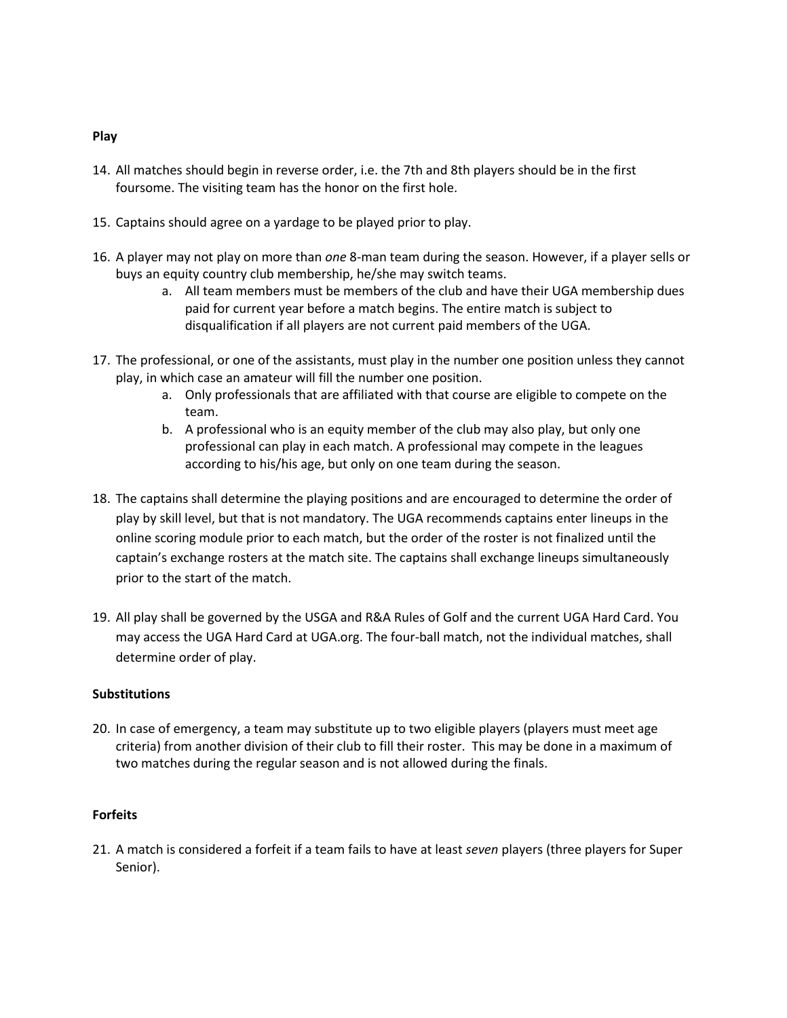#### **Play**

- 14. All matches should begin in reverse order, i.e. the 7th and 8th players should be in the first foursome. The visiting team has the honor on the first hole.
- 15. Captains should agree on a yardage to be played prior to play.
- 16. A player may not play on more than *one* 8-man team during the season. However, if a player sells or buys an equity country club membership, he/she may switch teams.
	- a. All team members must be members of the club and have their UGA membership dues paid for current year before a match begins. The entire match is subject to disqualification if all players are not current paid members of the UGA.
- 17. The professional, or one of the assistants, must play in the number one position unless they cannot play, in which case an amateur will fill the number one position.
	- a. Only professionals that are affiliated with that course are eligible to compete on the team.
	- b. A professional who is an equity member of the club may also play, but only one professional can play in each match. A professional may compete in the leagues according to his/his age, but only on one team during the season.
- 18. The captains shall determine the playing positions and are encouraged to determine the order of play by skill level, but that is not mandatory. The UGA recommends captains enter lineups in the online scoring module prior to each match, but the order of the roster is not finalized until the captain's exchange rosters at the match site. The captains shall exchange lineups simultaneously prior to the start of the match.
- 19. All play shall be governed by the USGA and R&A Rules of Golf and the current UGA Hard Card. You may access the UGA Hard Card at UGA.org. The four-ball match, not the individual matches, shall determine order of play.

## **Substitutions**

20. In case of emergency, a team may substitute up to two eligible players (players must meet age criteria) from another division of their club to fill their roster. This may be done in a maximum of two matches during the regular season and is not allowed during the finals.

## **Forfeits**

21. A match is considered a forfeit if a team fails to have at least *seven* players (three players for Super Senior).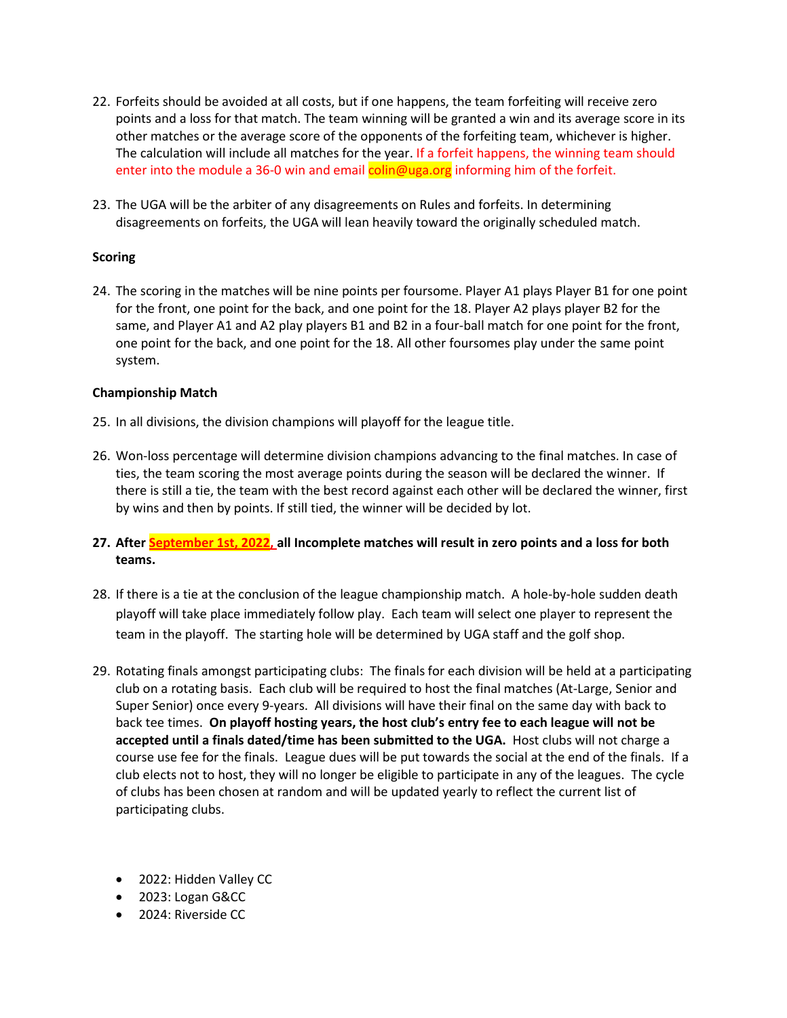- 22. Forfeits should be avoided at all costs, but if one happens, the team forfeiting will receive zero points and a loss for that match. The team winning will be granted a win and its average score in its other matches or the average score of the opponents of the forfeiting team, whichever is higher. The calculation will include all matches for the year. If a forfeit happens, the winning team should enter into the module a 36-0 win and email colin@uga.org informing him of the forfeit.
- 23. The UGA will be the arbiter of any disagreements on Rules and forfeits. In determining disagreements on forfeits, the UGA will lean heavily toward the originally scheduled match.

## **Scoring**

24. The scoring in the matches will be nine points per foursome. Player A1 plays Player B1 for one point for the front, one point for the back, and one point for the 18. Player A2 plays player B2 for the same, and Player A1 and A2 play players B1 and B2 in a four-ball match for one point for the front, one point for the back, and one point for the 18. All other foursomes play under the same point system.

## **Championship Match**

- 25. In all divisions, the division champions will playoff for the league title.
- 26. Won-loss percentage will determine division champions advancing to the final matches. In case of ties, the team scoring the most average points during the season will be declared the winner. If there is still a tie, the team with the best record against each other will be declared the winner, first by wins and then by points. If still tied, the winner will be decided by lot.

## **27. After September 1st, 2022, all Incomplete matches will result in zero points and a loss for both teams.**

- 28. If there is a tie at the conclusion of the league championship match. A hole-by-hole sudden death playoff will take place immediately follow play. Each team will select one player to represent the team in the playoff. The starting hole will be determined by UGA staff and the golf shop.
- 29. Rotating finals amongst participating clubs: The finals for each division will be held at a participating club on a rotating basis. Each club will be required to host the final matches (At-Large, Senior and Super Senior) once every 9-years. All divisions will have their final on the same day with back to back tee times. **On playoff hosting years, the host club's entry fee to each league will not be accepted until a finals dated/time has been submitted to the UGA.** Host clubs will not charge a course use fee for the finals. League dues will be put towards the social at the end of the finals. If a club elects not to host, they will no longer be eligible to participate in any of the leagues. The cycle of clubs has been chosen at random and will be updated yearly to reflect the current list of participating clubs.
	- 2022: Hidden Valley CC
	- 2023: Logan G&CC
	- 2024: Riverside CC